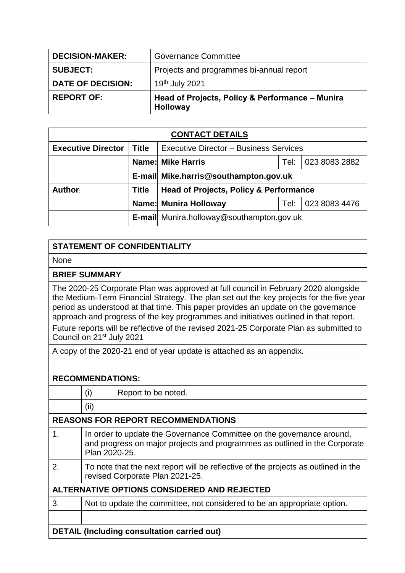| <b>DECISION-MAKER:</b>   | <b>Governance Committee</b>                                 |
|--------------------------|-------------------------------------------------------------|
| <b>SUBJECT:</b>          | Projects and programmes bi-annual report                    |
| <b>DATE OF DECISION:</b> | 19th July 2021                                              |
| <b>REPORT OF:</b>        | Head of Projects, Policy & Performance - Munira<br>Holloway |

| <b>CONTACT DETAILS</b>    |              |                                                   |  |               |  |
|---------------------------|--------------|---------------------------------------------------|--|---------------|--|
| <b>Executive Director</b> | Title        | <b>Executive Director - Business Services</b>     |  |               |  |
|                           |              | <b>Name: Mike Harris</b><br>023 8083 2882<br>Tel: |  |               |  |
|                           |              | E-mail Mike.harris@southampton.gov.uk             |  |               |  |
| Author:                   | <b>Title</b> | <b>Head of Projects, Policy &amp; Performance</b> |  |               |  |
|                           |              | Name: Munira Holloway<br>Tel:                     |  | 023 8083 4476 |  |
|                           |              | E-mail Munira.holloway@southampton.gov.uk         |  |               |  |

## **STATEMENT OF CONFIDENTIALITY**

None

## **BRIEF SUMMARY**

The 2020-25 Corporate Plan was approved at full council in February 2020 alongside the Medium-Term Financial Strategy. The plan set out the key projects for the five year period as understood at that time. This paper provides an update on the governance approach and progress of the key programmes and initiatives outlined in that report. Future reports will be reflective of the revised 2021-25 Corporate Plan as submitted to Council on 21st July 2021

A copy of the 2020-21 end of year update is attached as an appendix.

| <b>RECOMMENDATIONS:</b>                            |                                                                                                                                                                      |                                                                          |  |
|----------------------------------------------------|----------------------------------------------------------------------------------------------------------------------------------------------------------------------|--------------------------------------------------------------------------|--|
|                                                    | (i)                                                                                                                                                                  | Report to be noted.                                                      |  |
|                                                    | (ii)                                                                                                                                                                 |                                                                          |  |
| <b>REASONS FOR REPORT RECOMMENDATIONS</b>          |                                                                                                                                                                      |                                                                          |  |
| $\mathbf 1$ .                                      | In order to update the Governance Committee on the governance around,<br>and progress on major projects and programmes as outlined in the Corporate<br>Plan 2020-25. |                                                                          |  |
| 2.                                                 | To note that the next report will be reflective of the projects as outlined in the<br>revised Corporate Plan 2021-25.                                                |                                                                          |  |
| ALTERNATIVE OPTIONS CONSIDERED AND REJECTED        |                                                                                                                                                                      |                                                                          |  |
| 3.                                                 |                                                                                                                                                                      | Not to update the committee, not considered to be an appropriate option. |  |
|                                                    |                                                                                                                                                                      |                                                                          |  |
| <b>DETAIL (Including consultation carried out)</b> |                                                                                                                                                                      |                                                                          |  |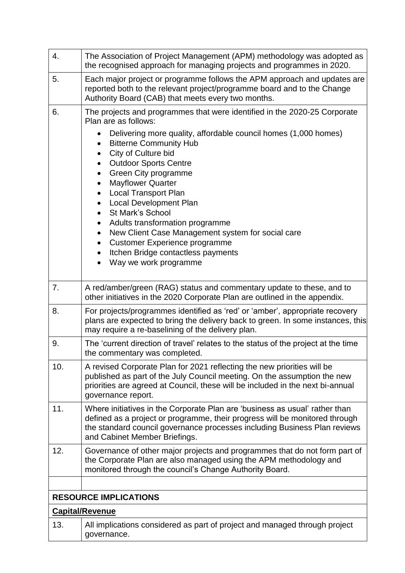| 4.  | The Association of Project Management (APM) methodology was adopted as<br>the recognised approach for managing projects and programmes in 2020.                                                                                                                                                                                                                                                                                                          |  |  |  |
|-----|----------------------------------------------------------------------------------------------------------------------------------------------------------------------------------------------------------------------------------------------------------------------------------------------------------------------------------------------------------------------------------------------------------------------------------------------------------|--|--|--|
| 5.  | Each major project or programme follows the APM approach and updates are<br>reported both to the relevant project/programme board and to the Change<br>Authority Board (CAB) that meets every two months.                                                                                                                                                                                                                                                |  |  |  |
| 6.  | The projects and programmes that were identified in the 2020-25 Corporate<br>Plan are as follows:                                                                                                                                                                                                                                                                                                                                                        |  |  |  |
|     | Delivering more quality, affordable council homes (1,000 homes)<br>$\bullet$<br><b>Bitterne Community Hub</b><br>$\bullet$<br>City of Culture bid<br><b>Outdoor Sports Centre</b><br>Green City programme<br><b>Mayflower Quarter</b><br>$\bullet$<br><b>Local Transport Plan</b><br><b>Local Development Plan</b><br>St Mark's School<br>$\bullet$<br>Adults transformation programme<br>$\bullet$<br>New Client Case Management system for social care |  |  |  |
|     | <b>Customer Experience programme</b><br>Itchen Bridge contactless payments                                                                                                                                                                                                                                                                                                                                                                               |  |  |  |
|     | Way we work programme                                                                                                                                                                                                                                                                                                                                                                                                                                    |  |  |  |
| 7.  | A red/amber/green (RAG) status and commentary update to these, and to<br>other initiatives in the 2020 Corporate Plan are outlined in the appendix.                                                                                                                                                                                                                                                                                                      |  |  |  |
| 8.  | For projects/programmes identified as 'red' or 'amber', appropriate recovery<br>plans are expected to bring the delivery back to green. In some instances, this<br>may require a re-baselining of the delivery plan.                                                                                                                                                                                                                                     |  |  |  |
| 9.  | The 'current direction of travel' relates to the status of the project at the time<br>the commentary was completed.                                                                                                                                                                                                                                                                                                                                      |  |  |  |
| 10. | A revised Corporate Plan for 2021 reflecting the new priorities will be<br>published as part of the July Council meeting. On the assumption the new<br>priorities are agreed at Council, these will be included in the next bi-annual<br>governance report.                                                                                                                                                                                              |  |  |  |
| 11. | Where initiatives in the Corporate Plan are 'business as usual' rather than<br>defined as a project or programme, their progress will be monitored through<br>the standard council governance processes including Business Plan reviews<br>and Cabinet Member Briefings.                                                                                                                                                                                 |  |  |  |
| 12. | Governance of other major projects and programmes that do not form part of<br>the Corporate Plan are also managed using the APM methodology and<br>monitored through the council's Change Authority Board.                                                                                                                                                                                                                                               |  |  |  |
|     |                                                                                                                                                                                                                                                                                                                                                                                                                                                          |  |  |  |
|     | <b>RESOURCE IMPLICATIONS</b><br><b>Capital/Revenue</b>                                                                                                                                                                                                                                                                                                                                                                                                   |  |  |  |
| 13. | All implications considered as part of project and managed through project<br>governance.                                                                                                                                                                                                                                                                                                                                                                |  |  |  |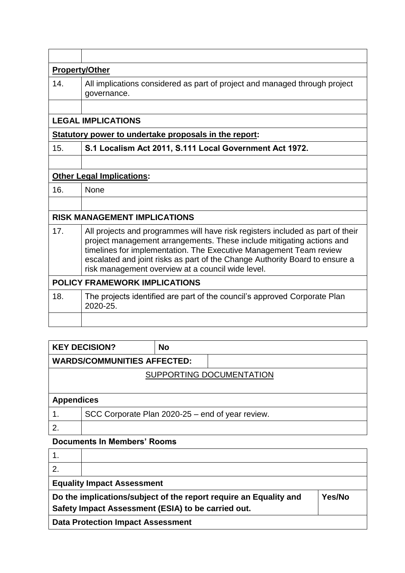| <b>Property/Other</b>                                                                                                                                                                                                                                                                                                                                             |  |  |  |
|-------------------------------------------------------------------------------------------------------------------------------------------------------------------------------------------------------------------------------------------------------------------------------------------------------------------------------------------------------------------|--|--|--|
| All implications considered as part of project and managed through project<br>governance.                                                                                                                                                                                                                                                                         |  |  |  |
|                                                                                                                                                                                                                                                                                                                                                                   |  |  |  |
| <b>LEGAL IMPLICATIONS</b>                                                                                                                                                                                                                                                                                                                                         |  |  |  |
| Statutory power to undertake proposals in the report:                                                                                                                                                                                                                                                                                                             |  |  |  |
| S.1 Localism Act 2011, S.111 Local Government Act 1972.                                                                                                                                                                                                                                                                                                           |  |  |  |
|                                                                                                                                                                                                                                                                                                                                                                   |  |  |  |
| <b>Other Legal Implications:</b>                                                                                                                                                                                                                                                                                                                                  |  |  |  |
| None                                                                                                                                                                                                                                                                                                                                                              |  |  |  |
|                                                                                                                                                                                                                                                                                                                                                                   |  |  |  |
| <b>RISK MANAGEMENT IMPLICATIONS</b>                                                                                                                                                                                                                                                                                                                               |  |  |  |
| All projects and programmes will have risk registers included as part of their<br>project management arrangements. These include mitigating actions and<br>timelines for implementation. The Executive Management Team review<br>escalated and joint risks as part of the Change Authority Board to ensure a<br>risk management overview at a council wide level. |  |  |  |
| <b>POLICY FRAMEWORK IMPLICATIONS</b>                                                                                                                                                                                                                                                                                                                              |  |  |  |
| The projects identified are part of the council's approved Corporate Plan<br>2020-25.                                                                                                                                                                                                                                                                             |  |  |  |
|                                                                                                                                                                                                                                                                                                                                                                   |  |  |  |
|                                                                                                                                                                                                                                                                                                                                                                   |  |  |  |

|                                    | <b>KEY DECISION?</b>                             | <b>No</b> |  |
|------------------------------------|--------------------------------------------------|-----------|--|
| <b>WARDS/COMMUNITIES AFFECTED:</b> |                                                  |           |  |
| SUPPORTING DOCUMENTATION           |                                                  |           |  |
|                                    |                                                  |           |  |
| <b>Appendices</b>                  |                                                  |           |  |
| 1.                                 | SCC Corporate Plan 2020-25 – end of year review. |           |  |
| 2.                                 |                                                  |           |  |

## **Documents In Members' Rooms**

| <b>Equality Impact Assessment</b>                                                  |  |  |  |  |
|------------------------------------------------------------------------------------|--|--|--|--|
| Do the implications/subject of the report require an Equality and<br><b>Yes/No</b> |  |  |  |  |
| Safety Impact Assessment (ESIA) to be carried out.                                 |  |  |  |  |
| <b>Data Protection Impact Assessment</b>                                           |  |  |  |  |